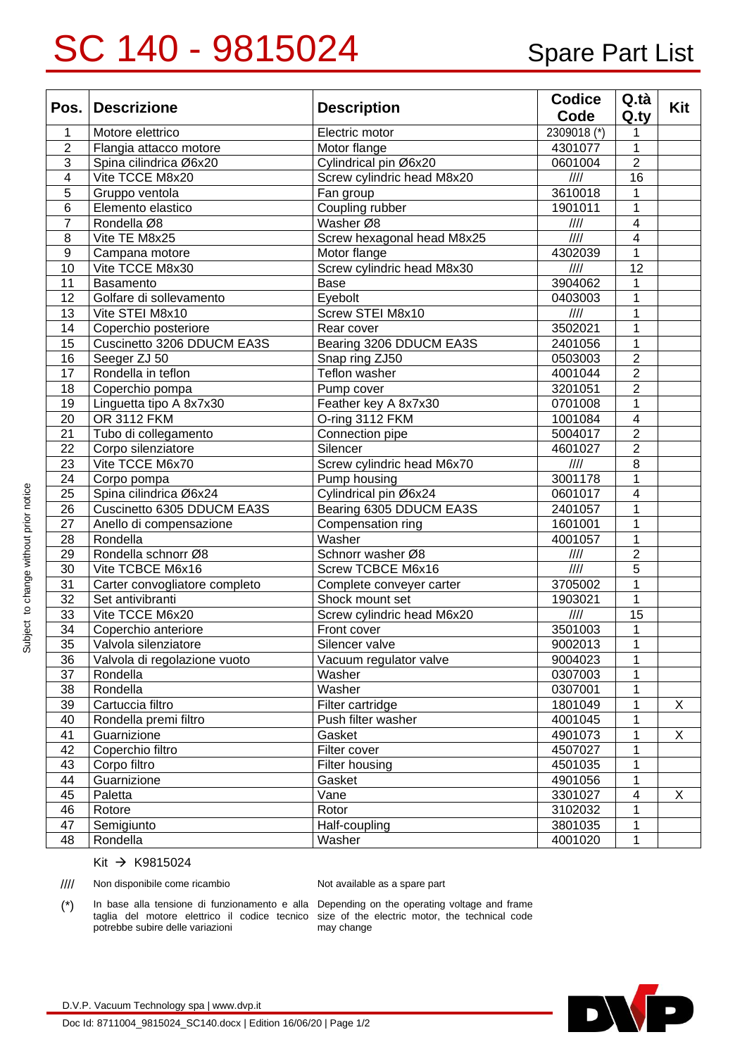## SC 140 - 9815024 Spare Part List

| Pos. $ $                | <b>Descrizione</b>            | <b>Description</b>         | <b>Codice</b><br>Code     | Q.tà<br>Q.ty    | Kit |
|-------------------------|-------------------------------|----------------------------|---------------------------|-----------------|-----|
| $\mathbf 1$             | Motore elettrico              | Electric motor             | 2309018 (*)               | 1               |     |
| $\overline{2}$          | Flangia attacco motore        | Motor flange               | 4301077                   | 1               |     |
| $\overline{3}$          | Spina cilindrica Ø6x20        | Cylindrical pin Ø6x20      | 0601004                   | $\overline{2}$  |     |
| $\overline{\mathbf{4}}$ | Vite TCCE M8x20               | Screw cylindric head M8x20 | 1111                      | $\overline{16}$ |     |
| 5                       | Gruppo ventola                | Fan group                  | 3610018                   | 1               |     |
| $6\phantom{1}6$         | Elemento elastico             | Coupling rubber            | 1901011                   | $\mathbf 1$     |     |
| $\overline{7}$          | Rondella Ø8                   | Washer Ø8                  | $\frac{1}{1}$             | 4               |     |
| 8                       | Vite TE M8x25                 | Screw hexagonal head M8x25 | III                       | 4               |     |
| $\boldsymbol{9}$        | Campana motore                | Motor flange               | 4302039                   | 1               |     |
| 10                      | Vite TCCE M8x30               | Screw cylindric head M8x30 | 1111                      | 12              |     |
| 11                      | Basamento                     | Base                       | 3904062                   | 1               |     |
| 12                      | Golfare di sollevamento       | Eyebolt                    | 0403003                   | 1               |     |
| 13                      | Vite STEI M8x10               | Screw STEI M8x10           | 1111                      | 1               |     |
| 14                      | Coperchio posteriore          | Rear cover                 | 3502021                   | 1               |     |
| 15                      | Cuscinetto 3206 DDUCM EA3S    | Bearing 3206 DDUCM EA3S    | 2401056                   | 1               |     |
| 16                      | Seeger ZJ 50                  | Snap ring ZJ50             | 0503003                   | $\overline{2}$  |     |
| 17                      | Rondella in teflon            | Teflon washer              | 4001044                   | $\overline{2}$  |     |
| 18                      | Coperchio pompa               | Pump cover                 | 3201051                   | $\overline{2}$  |     |
| 19                      | Linguetta tipo A 8x7x30       | Feather key A 8x7x30       | 0701008                   | 1               |     |
| 20                      | OR 3112 FKM                   | O-ring 3112 FKM            | 1001084                   | 4               |     |
| 21                      | Tubo di collegamento          | Connection pipe            | 5004017                   | $\overline{2}$  |     |
| 22                      | Corpo silenziatore            | Silencer                   | 4601027                   | $\overline{2}$  |     |
| 23                      | Vite TCCE M6x70               | Screw cylindric head M6x70 | $\frac{1}{1}$             | $\overline{8}$  |     |
| 24                      | Corpo pompa                   | Pump housing               | 3001178                   | 1               |     |
| 25                      | Spina cilindrica Ø6x24        | Cylindrical pin Ø6x24      | 0601017                   | 4               |     |
| 26                      | Cuscinetto 6305 DDUCM EA3S    | Bearing 6305 DDUCM EA3S    | 2401057                   | 1               |     |
| 27                      | Anello di compensazione       | Compensation ring          | 1601001                   | 1               |     |
| 28                      | Rondella                      | Washer                     | 4001057                   | $\mathbf 1$     |     |
| 29                      | Rondella schnorr Ø8           | Schnorr washer Ø8          | $\frac{1}{1}$             | $\overline{2}$  |     |
| 30                      | Vite TCBCE M6x16              | Screw TCBCE M6x16          | $\frac{1}{1}$             | $\overline{5}$  |     |
| 31                      | Carter convogliatore completo | Complete conveyer carter   | 3705002                   | 1               |     |
| 32                      | Set antivibranti              | Shock mount set            | 1903021                   | $\mathbf{1}$    |     |
| 33                      | Vite TCCE M6x20               | Screw cylindric head M6x20 | $\overline{\mathit{III}}$ | 15              |     |
| 34                      | Coperchio anteriore           | Front cover                | 3501003                   | $\mathbf{1}$    |     |
| 35                      | Valvola silenziatore          | Silencer valve             | 9002013                   | $\mathbf{1}$    |     |
| 36                      | Valvola di regolazione vuoto  | Vacuum regulator valve     | 9004023                   | 1               |     |
| 37                      | Rondella                      | Washer                     | 0307003                   | 1               |     |
| 38                      | Rondella                      | Washer                     | 0307001                   | 1               |     |
| 39                      | Cartuccia filtro              | Filter cartridge           | 1801049                   | 1               | X   |
| 40                      | Rondella premi filtro         | Push filter washer         | 4001045                   | 1               |     |
| 41                      | Guarnizione                   | Gasket                     | 4901073                   | 1               | X   |
| 42                      | Coperchio filtro              | Filter cover               | 4507027                   | 1               |     |
| 43                      | Corpo filtro                  | Filter housing             | 4501035                   | 1               |     |
| 44                      | Guarnizione                   | Gasket                     | 4901056                   | 1               |     |
| 45                      | Paletta                       | Vane                       | 3301027                   | 4               | X   |
| 46                      | Rotore                        | Rotor                      | 3102032                   | 1               |     |
| 47                      | Semigiunto                    | Half-coupling              | 3801035                   | 1               |     |
| 48                      | Rondella                      | Washer                     | 4001020                   | 1               |     |

## Kit → K9815024

//// Non disponibile come ricambio Not available as a spare part

(\*) In base alla tensione di funzionamento e alla Depending on the operating voltage and frame taglia del motore elettrico il codice tecnico size of the electric motor, the technical code potrebbe subire delle variazioni

may change